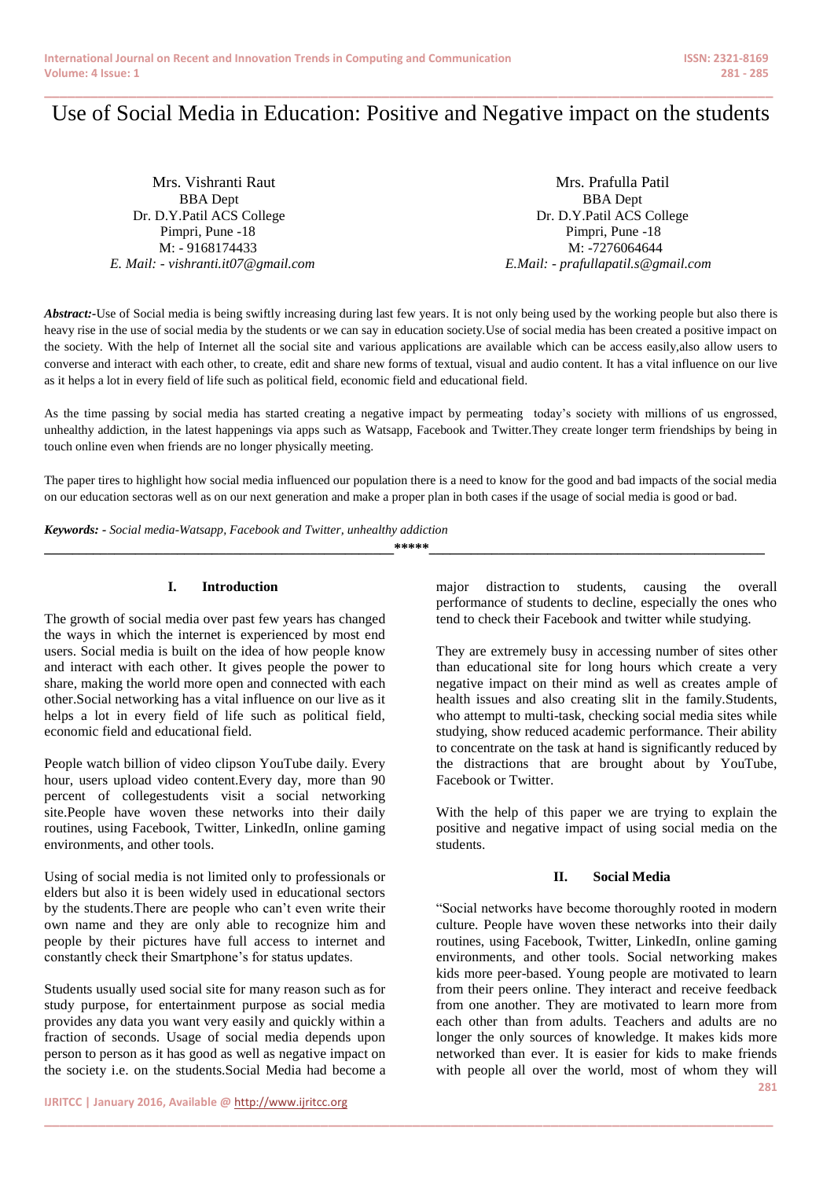# **\_\_\_\_\_\_\_\_\_\_\_\_\_\_\_\_\_\_\_\_\_\_\_\_\_\_\_\_\_\_\_\_\_\_\_\_\_\_\_\_\_\_\_\_\_\_\_\_\_\_\_\_\_\_\_\_\_\_\_\_\_\_\_\_\_\_\_\_\_\_\_\_\_\_\_\_\_\_\_\_\_\_\_\_\_\_\_\_\_\_\_\_\_\_\_** Use of Social Media in Education: Positive and Negative impact on the students

BBA Dept BBA Dept Dr. D.Y.Patil ACS College Dr. D.Y.Patil ACS College Pimpri, Pune -18 Pimpri, Pune -18 M: - 9168174433 M: -7276064644 *E. Mail: - [vishranti.it07@gmail.com](mailto:vishranti.it07@gmail.com) E.Mail: - [prafullapatil.s@gmail.com](mailto:prafullapatil.s@gmail.com)*

Mrs. Vishranti Raut **Mrs. Prafulla Patil** 

Abstract:-Use of Social media is being swiftly increasing during last few years. It is not only being used by the working people but also there is heavy rise in the use of social media by the students or we can say in education society.Use of social media has been created a positive impact on the society. With the help of Internet all the social site and various applications are available which can be access easily,also allow users to converse and interact with each other, to create, edit and share new forms of textual, visual and audio content. It has a vital influence on our live as it helps a lot in every field of life such as political field, economic field and educational field.

As the time passing by social media has started creating a negative impact by permeating today's society with millions of us engrossed, unhealthy addiction, in the latest happenings via apps such as Watsapp, Facebook and Twitter.They create longer term friendships by being in touch online even when friends are no longer physically meeting.

The paper tires to highlight how social media influenced our population there is a need to know for the good and bad impacts of the social media on our education sectoras well as on our next generation and make a proper plan in both cases if the usage of social media is good or bad.

*Keywords: - Social media-Watsapp, Facebook and Twitter, unhealthy addiction*

**\_\_\_\_\_\_\_\_\_\_\_\_\_\_\_\_\_\_\_\_\_\_\_\_\_\_\_\_\_\_\_\_\_\_\_\_\_\_\_\_\_\_\_\_\_\_\_\_\_\_\*\*\*\*\*\_\_\_\_\_\_\_\_\_\_\_\_\_\_\_\_\_\_\_\_\_\_\_\_\_\_\_\_\_\_\_\_\_\_\_\_\_\_\_\_\_\_\_\_\_\_\_\_**

**\_\_\_\_\_\_\_\_\_\_\_\_\_\_\_\_\_\_\_\_\_\_\_\_\_\_\_\_\_\_\_\_\_\_\_\_\_\_\_\_\_\_\_\_\_\_\_\_\_\_\_\_\_\_\_\_\_\_\_\_\_\_\_\_\_\_\_\_\_\_\_\_\_\_\_\_\_\_\_\_\_\_\_\_\_\_\_\_\_\_\_\_\_\_\_**

## **I. Introduction**

The growth of social media over past few years has changed the ways in which the internet is experienced by most end users. Social media is built on the idea of how people know and interact with each other. It gives people the power to share, making the world more open and connected with each other.Social networking has a vital influence on our live as it helps a lot in every field of life such as political field, economic field and educational field.

People watch billion of video clipson YouTube daily. Every hour, users upload video content.Every day, more than 90 percent of collegestudents visit a social networking site.People have woven these networks into their daily routines, using Facebook, Twitter, LinkedIn, online gaming environments, and other tools.

Using of social media is not limited only to professionals or elders but also it is been widely used in educational sectors by the students.There are people who can't even write their own name and they are only able to recognize him and people by their pictures have full access to internet and constantly check their Smartphone's for status updates.

Students usually used social site for many reason such as for study purpose, for entertainment purpose as social media provides any data you want very easily and quickly within a fraction of seconds. Usage of social media depends upon person to person as it has good as well as negative impact on the society i.e. on the students.Social Media had become a major distraction to students, causing the overall performance of students to decline, especially the ones who tend to check their Facebook and twitter while studying.

They are extremely busy in accessing number of sites other than educational site for long hours which create a very negative impact on their mind as well as creates ample of health issues and also creating slit in the family.Students, who attempt to multi-task, checking social media sites while studying, show reduced academic performance. Their ability to concentrate on the task at hand is significantly reduced by the distractions that are brought about by YouTube, Facebook or Twitter.

With the help of this paper we are trying to explain the positive and negative impact of using social media on the students.

#### **II. Social Media**

**281** "Social networks have become thoroughly rooted in modern culture. People have woven these networks into their daily routines, using Facebook, Twitter, LinkedIn, online gaming environments, and other tools. Social networking makes kids more peer-based. Young people are motivated to learn from their peers online. They interact and receive feedback from one another. They are motivated to learn more from each other than from adults. Teachers and adults are no longer the only sources of knowledge. It makes kids more networked than ever. It is easier for kids to make friends with people all over the world, most of whom they will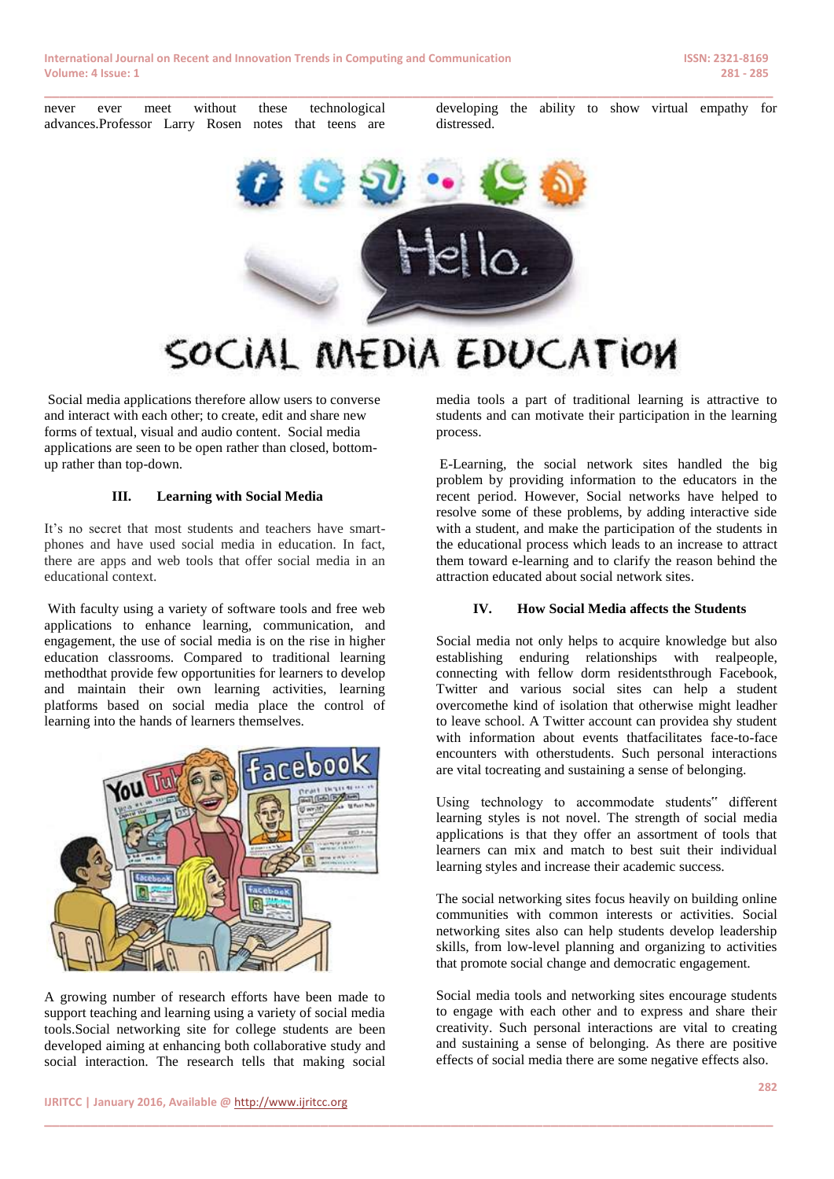

**\_\_\_\_\_\_\_\_\_\_\_\_\_\_\_\_\_\_\_\_\_\_\_\_\_\_\_\_\_\_\_\_\_\_\_\_\_\_\_\_\_\_\_\_\_\_\_\_\_\_\_\_\_\_\_\_\_\_\_\_\_\_\_\_\_\_\_\_\_\_\_\_\_\_\_\_\_\_\_\_\_\_\_\_\_\_\_\_\_\_\_\_\_\_\_**

Social media applications therefore allow users to converse and interact with each other; to create, edit and share new forms of textual, visual and audio content. Social media applications are seen to be open rather than closed, bottomup rather than top-down.

#### **III. Learning with Social Media**

It's no secret that most students and teachers have smartphones and have used social media in education. In fact, there are apps and web tools that offer social media in an educational context.

With faculty using a variety of software tools and free web applications to enhance learning, communication, and engagement, the use of social media is on the rise in higher education classrooms. Compared to traditional learning methodthat provide few opportunities for learners to develop and maintain their own learning activities, learning platforms based on social media place the control of learning into the hands of learners themselves.



A growing number of research efforts have been made to support teaching and learning using a variety of social media tools.Social networking site for college students are been developed aiming at enhancing both collaborative study and social interaction. The research tells that making social

media tools a part of traditional learning is attractive to students and can motivate their participation in the learning process.

E-Learning, the social network sites handled the big problem by providing information to the educators in the recent period. However, Social networks have helped to resolve some of these problems, by adding interactive side with a student, and make the participation of the students in the educational process which leads to an increase to attract them toward e-learning and to clarify the reason behind the attraction educated about social network sites.

#### **IV. How Social Media affects the Students**

Social media not only helps to acquire knowledge but also establishing enduring relationships with realpeople, connecting with fellow dorm residentsthrough Facebook, Twitter and various social sites can help a student overcomethe kind of isolation that otherwise might leadher to leave school. A Twitter account can providea shy student with information about events thatfacilitates face-to-face encounters with otherstudents. Such personal interactions are vital tocreating and sustaining a sense of belonging.

Using technology to accommodate students" different learning styles is not novel. The strength of social media applications is that they offer an assortment of tools that learners can mix and match to best suit their individual learning styles and increase their academic success.

The social networking sites focus heavily on building online communities with common interests or activities. Social networking sites also can help students develop leadership skills, from low-level planning and organizing to activities that promote social change and democratic engagement.

Social media tools and networking sites encourage students to engage with each other and to express and share their creativity. Such personal interactions are vital to creating and sustaining a sense of belonging. As there are positive effects of social media there are some negative effects also.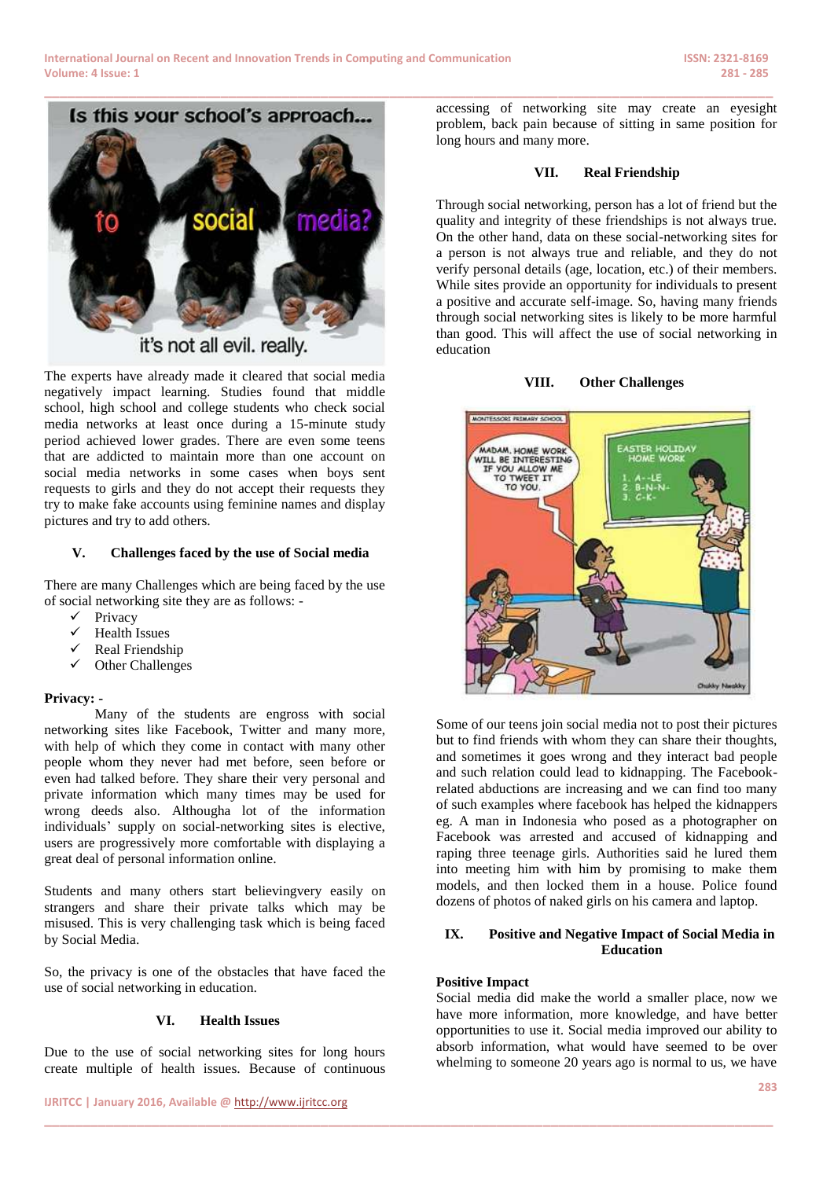

it's not all evil. really.

The experts have already made it cleared that social media negatively impact learning. Studies found that middle school, high school and college students who check social media networks at least once during a 15-minute study period achieved lower grades. There are even some teens that are addicted to maintain more than one account on social media networks in some cases when boys sent requests to girls and they do not accept their requests they try to make fake accounts using feminine names and display pictures and try to add others.

### **V. Challenges faced by the use of Social media**

There are many Challenges which are being faced by the use of social networking site they are as follows: -

- $\checkmark$  Privacy
- $\checkmark$  Health Issues
- $\checkmark$  Real Friendship
- Other Challenges

# **Privacy: -**

Many of the students are engross with social networking sites like Facebook, Twitter and many more, with help of which they come in contact with many other people whom they never had met before, seen before or even had talked before. They share their very personal and private information which many times may be used for wrong deeds also. Althougha lot of the information individuals' supply on social-networking sites is elective, users are progressively more comfortable with displaying a great deal of personal information online.

Students and many others start believingvery easily on strangers and share their private talks which may be misused. This is very challenging task which is being faced by Social Media.

So, the privacy is one of the obstacles that have faced the use of social networking in education.

# **VI. Health Issues**

Due to the use of social networking sites for long hours create multiple of health issues. Because of continuous accessing of networking site may create an eyesight problem, back pain because of sitting in same position for long hours and many more.

## **VII. Real Friendship**

Through social networking, person has a lot of friend but the quality and integrity of these friendships is not always true. On the other hand, data on these social-networking sites for a person is not always true and reliable, and they do not verify personal details (age, location, etc.) of their members. While sites provide an opportunity for individuals to present a positive and accurate self-image. So, having many friends through social networking sites is likely to be more harmful than good. This will affect the use of social networking in education

# **VIII. Other Challenges**



Some of our teens join social media not to post their pictures but to find friends with whom they can share their thoughts, and sometimes it goes wrong and they interact bad people and such relation could lead to kidnapping. The Facebookrelated abductions are increasing and we can find too many of such examples where facebook has helped the kidnappers eg. A man in Indonesia who posed as a photographer on Facebook was arrested and accused of kidnapping and raping three teenage girls. Authorities said he lured them into meeting him with him by promising to make them models, and then locked them in a house. Police found dozens of photos of naked girls on his camera and laptop.

### **IX. Positive and Negative Impact of Social Media in Education**

#### **Positive Impact**

**\_\_\_\_\_\_\_\_\_\_\_\_\_\_\_\_\_\_\_\_\_\_\_\_\_\_\_\_\_\_\_\_\_\_\_\_\_\_\_\_\_\_\_\_\_\_\_\_\_\_\_\_\_\_\_\_\_\_\_\_\_\_\_\_\_\_\_\_\_\_\_\_\_\_\_\_\_\_\_\_\_\_\_\_\_\_\_\_\_\_\_\_\_\_\_**

Social media did make the world a smaller place, now we have more information, more knowledge, and have better opportunities to use it. Social media improved our ability to absorb information, what would have seemed to be over whelming to someone 20 years ago is normal to us, we have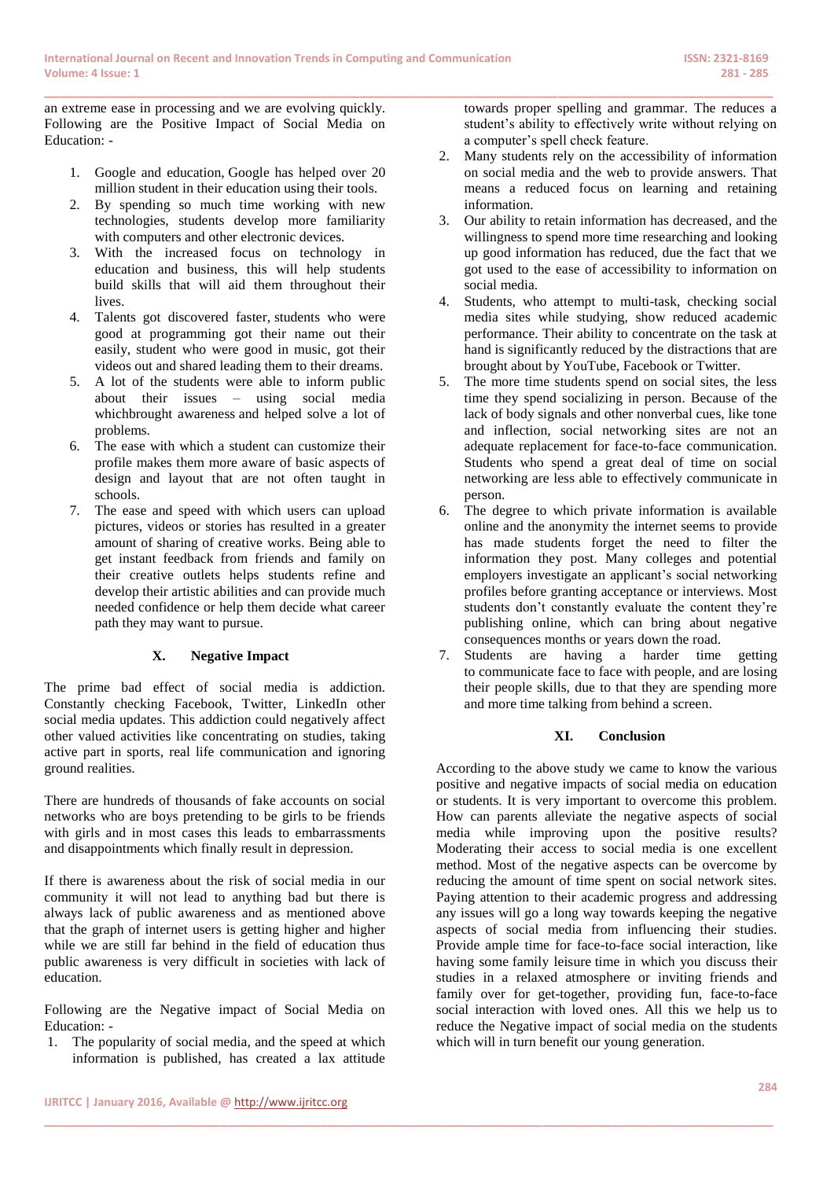**\_\_\_\_\_\_\_\_\_\_\_\_\_\_\_\_\_\_\_\_\_\_\_\_\_\_\_\_\_\_\_\_\_\_\_\_\_\_\_\_\_\_\_\_\_\_\_\_\_\_\_\_\_\_\_\_\_\_\_\_\_\_\_\_\_\_\_\_\_\_\_\_\_\_\_\_\_\_\_\_\_\_\_\_\_\_\_\_\_\_\_\_\_\_\_**

an extreme ease in processing and we are evolving quickly. Following are the Positive Impact of Social Media on Education: -

- 1. Google and education, Google has helped over 20 million student in their education using their tools.
- 2. By spending so much time working with new technologies, students develop more familiarity with computers and other electronic devices.
- 3. With the increased focus on technology in education and business, this will help students build skills that will aid them throughout their lives.
- 4. Talents got discovered faster, students who were good at programming got their name out their easily, student who were good in music, got their videos out and shared leading them to their dreams.
- 5. A lot of the students were able to inform public about their issues – using social media whichbrought awareness and helped solve a lot of problems.
- 6. The ease with which a student can customize their profile makes them more aware of basic aspects of design and layout that are not often taught in schools.
- 7. The ease and speed with which users can upload pictures, videos or stories has resulted in a greater amount of sharing of creative works. Being able to get instant feedback from friends and family on their creative outlets helps students refine and develop their artistic abilities and can provide much needed confidence or help them decide what career path they may want to pursue.

# **X. Negative Impact**

The prime bad effect of social media is addiction. Constantly checking Facebook, Twitter, LinkedIn other social media updates. This addiction could negatively affect other valued activities like concentrating on studies, taking active part in sports, real life communication and ignoring ground realities.

There are hundreds of thousands of fake accounts on social networks who are boys pretending to be girls to be friends with girls and in most cases this leads to embarrassments and disappointments which finally result in depression.

If there is awareness about the risk of social media in our community it will not lead to anything bad but there is always lack of public awareness and as mentioned above that the graph of internet users is getting higher and higher while we are still far behind in the field of education thus public awareness is very difficult in societies with lack of education.

Following are the Negative impact of Social Media on Education: -

1. The popularity of social media, and the speed at which information is published, has created a lax attitude

**\_\_\_\_\_\_\_\_\_\_\_\_\_\_\_\_\_\_\_\_\_\_\_\_\_\_\_\_\_\_\_\_\_\_\_\_\_\_\_\_\_\_\_\_\_\_\_\_\_\_\_\_\_\_\_\_\_\_\_\_\_\_\_\_\_\_\_\_\_\_\_\_\_\_\_\_\_\_\_\_\_\_\_\_\_\_\_\_\_\_\_\_\_\_\_**

towards proper spelling and grammar. The reduces a student's ability to effectively write without relying on a computer's spell check feature.

- 2. Many students rely on the accessibility of information on social media and the web to provide answers. That means a reduced focus on learning and retaining information.
- 3. Our ability to retain information has decreased, and the willingness to spend more time researching and looking up good information has reduced, due the fact that we got used to the ease of accessibility to information on social media.
- 4. Students, who attempt to multi-task, checking social media sites while studying, show reduced academic performance. Their ability to concentrate on the task at hand is significantly reduced by the distractions that are brought about by YouTube, Facebook or Twitter.
- 5. The more time students spend on social sites, the less time they spend socializing in person. Because of the lack of body signals and other nonverbal cues, like tone and inflection, social networking sites are not an adequate replacement for face-to-face communication. Students who spend a great deal of time on social networking are less able to effectively communicate in person.
- 6. The degree to which private information is available online and the anonymity the internet seems to provide has made students forget the need to filter the information they post. Many colleges and potential employers investigate an applicant's social networking profiles before granting acceptance or interviews. Most students don't constantly evaluate the content they're publishing online, which can bring about negative consequences months or years down the road.
- 7. Students are having a harder time getting to communicate face to face with people, and are losing their people skills, due to that they are spending more and more time talking from behind a screen.

# **XI. Conclusion**

According to the above study we came to know the various positive and negative impacts of social media on education or students. It is very important to overcome this problem. How can parents alleviate the negative aspects of social media while improving upon the positive results? Moderating their access to social media is one excellent method. Most of the negative aspects can be overcome by reducing the amount of time spent on social network sites. Paying attention to their academic progress and addressing any issues will go a long way towards keeping the negative aspects of social media from influencing their studies. Provide ample time for face-to-face social interaction, like having some [family leisure](http://www.familyleisure.com/) time in which you discuss their studies in a relaxed atmosphere or inviting friends and family over for get-together, providing fun, face-to-face social interaction with loved ones. All this we help us to reduce the Negative impact of social media on the students which will in turn benefit our young generation.